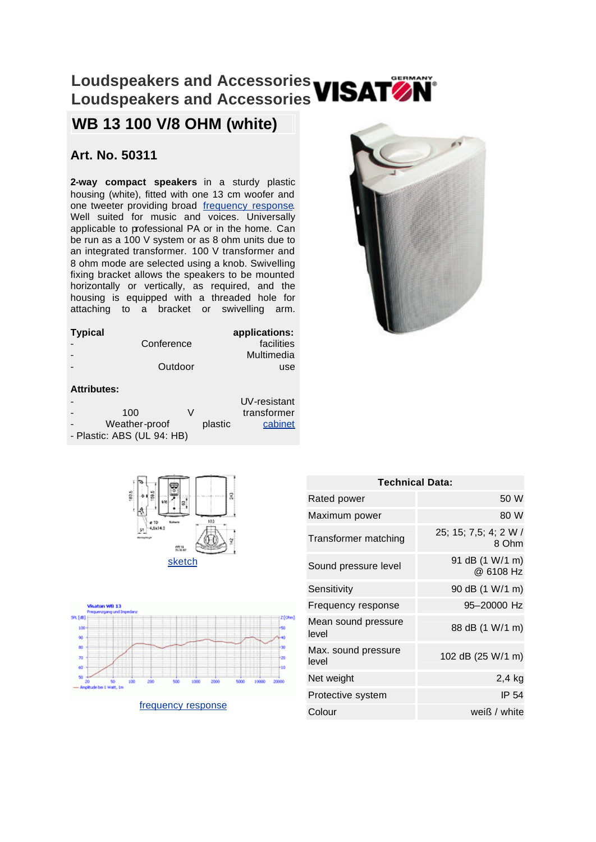## **Loudspeakers and Accessories Loudspeakers and Accessories**

## **WB 13 100 V/8 OHM (white)**

## **Art. No. 50311**

**2-way compact speakers** in a sturdy plastic housing (white), fitted with one 13 cm woofer and one tweeter providing broad frequency response. Well suited for music and voices. Universally applicable to professional PA or in the home. Can be run as a 100 V system or as 8 ohm units due to an integrated transformer. 100 V transformer and 8 ohm mode are selected using a knob. Swivelling fixing bracket allows the speakers to be mounted horizontally or vertically, as required, and the housing is equipped with a threaded hole for attaching to a bracket or swivelling arm.

| <b>Typical</b>           |            | applications: |
|--------------------------|------------|---------------|
|                          | Conference | facilities    |
| $\overline{\phantom{0}}$ |            | Multimedia    |
| $\overline{\phantom{0}}$ | Outdoor    | use           |

## **Attributes:**

| $\overline{\phantom{0}}$ |                            |   |         | UV-resistant |
|--------------------------|----------------------------|---|---------|--------------|
| $\overline{\phantom{a}}$ | 100                        | V |         | transformer  |
| $\overline{\phantom{a}}$ | Weather-proof              |   | plastic | cabinet      |
|                          | - Plastic: ABS (UL 94: HB) |   |         |              |





frequency response



| <b>Technical Data:</b>       |                                |  |  |  |
|------------------------------|--------------------------------|--|--|--|
| Rated power                  | 50 W                           |  |  |  |
| Maximum power                | 80 W                           |  |  |  |
| Transformer matching         | 25; 15; 7,5; 4; 2 W /<br>8 Ohm |  |  |  |
| Sound pressure level         | 91 dB (1 W/1 m)<br>@ 6108 Hz   |  |  |  |
| Sensitivity                  | 90 dB (1 W/1 m)                |  |  |  |
| Frequency response           | 95-20000 Hz                    |  |  |  |
| Mean sound pressure<br>level | 88 dB (1 W/1 m)                |  |  |  |
| Max. sound pressure<br>level | 102 dB (25 W/1 m)              |  |  |  |
| Net weight                   | $2,4$ kg                       |  |  |  |
| Protective system            | IP 54                          |  |  |  |
| Colour                       | weiß / white                   |  |  |  |